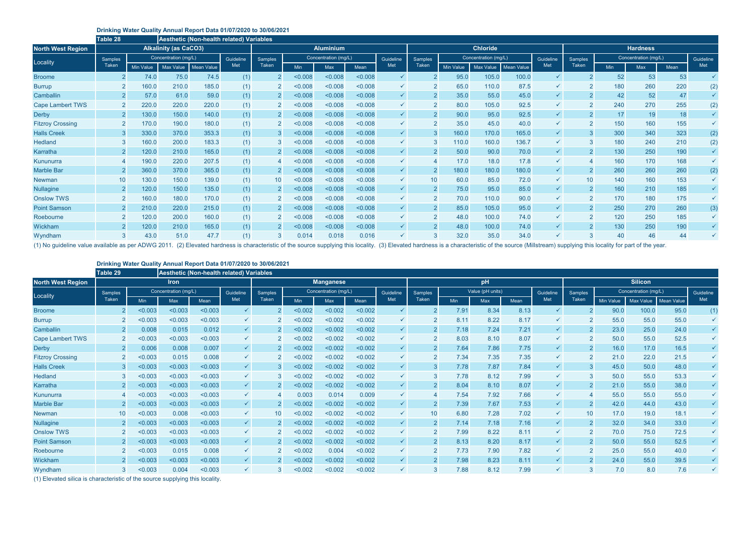## **Drinking Water Quality Annual Report Data 01/07/2020 to 30/06/2021**

## **Drinking Water Quality Annual Report Data 01/07/2020 to 30/06/2021**

|                          | Table 28       |                  |                              | <b>Aesthetic (Non-health related) Variables</b> |     |                  |                      |         |         |              |                 |                      |                  |            |              |                 |                      |            |      |              |
|--------------------------|----------------|------------------|------------------------------|-------------------------------------------------|-----|------------------|----------------------|---------|---------|--------------|-----------------|----------------------|------------------|------------|--------------|-----------------|----------------------|------------|------|--------------|
| <b>North West Region</b> |                |                  | <b>Alkalinity (as CaCO3)</b> |                                                 |     | <b>Aluminium</b> |                      |         |         |              | <b>Chloride</b> |                      |                  |            |              | <b>Hardness</b> |                      |            |      |              |
| Locality                 | <b>Samples</b> |                  |                              | Concentration (mg/L)                            |     | <b>Samples</b>   | Concentration (mg/L) |         |         | Guideline    | <b>Samples</b>  | Concentration (mg/L) |                  |            | Guideline    | <b>Samples</b>  | Concentration (mg/L) |            |      | Guideline    |
|                          | <b>Taken</b>   | <b>Min Value</b> | Max Value                    | <b>Mean Value</b>                               | Met | Taken            | <b>Min</b>           | Max     | Mean    | Met          | <b>Taken</b>    | <b>Min Value</b>     | <b>Max Value</b> | Mean Value | Met          | <b>Taken</b>    | <b>Min</b>           | <b>Max</b> | Mean | Met          |
| <b>Broome</b>            |                | 74.0             | 75.0                         | 74.5                                            | (1) |                  | 0.008                | < 0.008 | < 0.008 | $\checkmark$ |                 | 95.0                 | 105.0            | 100.0      |              |                 | 52                   | 53         | 53   | $\checkmark$ |
| <b>Burrup</b>            |                | 160.0            | 210.0                        | 185.0                                           | (1) | $\overline{2}$   | 0.008                | < 0.008 | < 0.008 | $\checkmark$ |                 | 65.0                 | 110.0            | 87.5       | $\checkmark$ | $\overline{2}$  | 180                  | 260        | 220  | (2)          |
| Camballin                |                | 57.0             | 61.0                         | 59.0                                            | (1) | 2 <sup>1</sup>   | 0.008                | < 0.008 | < 0.008 | $\checkmark$ |                 | 35.0                 | 55.0             | 45.0       | $\checkmark$ |                 | 42                   | 52         | 47   | $\checkmark$ |
| <b>Cape Lambert TWS</b>  |                | 220.0            | 220.0                        | 220.0                                           | (1) |                  | 0.008                | < 0.008 | < 0.008 | $\checkmark$ |                 | 80.0                 | 105.0            | 92.5       | $\checkmark$ |                 | 240                  | 270        | 255  | (2)          |
| <b>Derby</b>             |                | 130.0            | 150.0                        | 140.0                                           | (1) | $\overline{2}$   | 0.008                | < 0.008 | < 0.008 | $\checkmark$ | 2               | 90.0                 | 95.0             | 92.5       | $\checkmark$ | $\overline{2}$  | 17                   | 19         | 18   |              |
| <b>Fitzroy Crossing</b>  |                | 170.0            | 190.0                        | 180.0                                           | (1) |                  | 0.008                | < 0.008 | < 0.008 | $\checkmark$ |                 | 35.0                 | 45.0             | 40.0       |              |                 | 150                  | 160        | 155  | $\checkmark$ |
| <b>Halls Creek</b>       |                | 330.0            | 370.0                        | 353.3                                           | (1) | $3^{\circ}$      | 0.008                | < 0.008 | < 0.008 | $\checkmark$ |                 | 160.0                | 170.0            | 165.0      | $\checkmark$ |                 | 300                  | 340        | 323  | (2)          |
| <b>Hedland</b>           |                | 160.0            | 200.0                        | 183.3                                           | (1) |                  | 0.008                | < 0.008 | < 0.008 | $\checkmark$ |                 | 110.0                | 160.0            | 136.7      |              | 3               | 180                  | 240        | 210  | (2)          |
| Karratha                 |                | 120.0            | 210.0                        | 165.0                                           | (1) | $\overline{2}$   | < 0.008              | < 0.008 | < 0.008 | $\checkmark$ |                 | 50.0                 | 90.0             | 70.0       | $\checkmark$ | 2               | 130                  | 250        | 190  | $\checkmark$ |
| Kununurra                |                | 190.0            | 220.0                        | 207.5                                           | (1) |                  | 0.008                | < 0.008 | < 0.008 | $\checkmark$ |                 | 17.0                 | 18.0             | 17.8       |              |                 | 160                  | 170        | 168  |              |
| <b>Marble Bar</b>        |                | 360.0            | 370.0                        | 365.0                                           | (1) |                  | < 0.008              | < 0.008 | < 0.008 | $\checkmark$ |                 | 180.0                | 180.0            | 180.0      | $\checkmark$ |                 | 260                  | 260        | 260  | (2)          |
| <b>Newman</b>            | 10             | 130.0            | 150.0                        | 139.0                                           | (1) | 10               | 0.008                | < 0.008 | < 0.008 | $\checkmark$ | 10              | 60.0                 | 85.0             | 72.0       | $\checkmark$ | 10              | 140                  | 160        | 153  | $\checkmark$ |
| <b>Nullagine</b>         |                | 120.0            | 150.0                        | 135.0                                           | (1) | $2^{\circ}$      | 0.008                | < 0.008 | < 0.008 | $\checkmark$ |                 | 75.0                 | 95.0             | 85.0       | $\checkmark$ | $\overline{2}$  | 160                  | 210        | 185  | $\checkmark$ |
| <b>Onslow TWS</b>        |                | 160.0            | 180.0                        | 170.0                                           | (1) |                  | 0.008                | < 0.008 | < 0.008 | $\checkmark$ |                 | 70.0                 | 110.0            | 90.0       | $\checkmark$ |                 | 170                  | 180        | 175  | $\checkmark$ |
| <b>Point Samson</b>      |                | 210.0            | 220.0                        | 215.0                                           | (1) | $\overline{2}$   | 0.008                | < 0.008 | < 0.008 | $\checkmark$ | 2               | 85.0                 | 105.0            | 95.0       | $\checkmark$ | $\overline{2}$  | 250                  | 270        | 260  | (3)          |
| Roebourne                |                | 120.0            | 200.0                        | 160.0                                           | (1) |                  | 0.008                | < 0.008 | < 0.008 | $\checkmark$ |                 | 48.0                 | 100.0            | 74.0       |              | 2               | 120                  | 250        | 185  | $\checkmark$ |
| Wickham                  |                | 120.0            | 210.0                        | 165.0                                           | (1) |                  | 0.008                | < 0.008 | < 0.008 | $\checkmark$ |                 | 48.0                 | 100.0            | 74.0       |              |                 | 130                  | 250        | 190  | $\checkmark$ |
| Wyndham                  |                | 43.0             | 51.0                         | 47.7                                            | (1) |                  | 0.014                | 0.018   | 0.016   | $\checkmark$ |                 | 32.0                 | 35.0             | 34.0       |              |                 | 40                   | 46         | 44   |              |

(1) No guideline value available as per ADWG 2011. (2) Elevated hardness is characteristic of the source supplying this locality. (3) Elevated hardness is a characteristic of the source (Millstream) supplying this locality

|                          | Table 29        |                      | <b>Aesthetic (Non-health related) Variables</b> |           |              |                 |            |                                   |         |                |                  |            |      |                |                |                      |                  |                  |                   |              |
|--------------------------|-----------------|----------------------|-------------------------------------------------|-----------|--------------|-----------------|------------|-----------------------------------|---------|----------------|------------------|------------|------|----------------|----------------|----------------------|------------------|------------------|-------------------|--------------|
| <b>North West Region</b> |                 |                      | <b>Iron</b>                                     |           |              |                 |            | <b>Manganese</b>                  | pH      |                |                  |            |      | <b>Silicon</b> |                |                      |                  |                  |                   |              |
| Locality                 | Samples         | Concentration (mg/L) |                                                 | Guideline | Samples      |                 |            | Concentration (mg/L)<br>Guideline |         | <b>Samples</b> | Value (pH units) |            |      | Guideline      | <b>Samples</b> | Concentration (mg/L) |                  |                  | Guideline         |              |
|                          | Taken           | <b>Min</b>           | Max                                             | Mean      | Met          | Taken           | <b>Min</b> | Max                               | Mean    | Met            | Taken            | <b>Min</b> | Max  | Mean           | Met            | <b>Taken</b>         | <b>Min Value</b> | <b>Max Value</b> | <b>Mean Value</b> | Met          |
| <b>Broome</b>            |                 | < 0.003              | < 0.003                                         | < 0.003   | $\checkmark$ |                 | < 0.002    | < 0.002                           | < 0.002 | $\checkmark$   |                  | 7.91       | 8.34 | 8.13           | $\checkmark$   |                      | 90.0             | 100.0            | 95.0              | (1)          |
| <b>Burrup</b>            |                 | < 0.003              | < 0.003                                         | < 0.003   | $\checkmark$ |                 | < 0.002    | < 0.002                           | < 0.002 | $\checkmark$   |                  | 8.11       | 8.22 | 8.17           | $\checkmark$   |                      | 55.0             | 55.0             | 55.0              | $\checkmark$ |
| Camballin                |                 | 0.008                | 0.015                                           | 0.012     | $\checkmark$ |                 | < 0.002    | < 0.002                           | < 0.002 | $\checkmark$   |                  | 7.18       | 7.24 | 7.21           | $\checkmark$   | $\overline{2}$       | 23.0             | 25.0             | 24.0              | $\checkmark$ |
| <b>Cape Lambert TWS</b>  |                 | < 0.003              | < 0.003                                         | < 0.003   |              |                 | < 0.002    | < 0.002                           | < 0.002 | $\checkmark$   |                  | 8.03       | 8.10 | 8.07           | $\checkmark$   |                      | 50.0             | 55.0             | 52.5              | $\checkmark$ |
| <b>Derby</b>             |                 | 0.006                | 0.008                                           | 0.007     | $\checkmark$ | $\overline{2}$  | < 0.002    | < 0.002                           | < 0.002 | $\checkmark$   | $\overline{2}$   | 7.64       | 7.86 | 7.75           | $\checkmark$   |                      | 16.0             | 17.0             | 16.5              | $\checkmark$ |
| <b>Fitzroy Crossing</b>  |                 | < 0.003              | 0.015                                           | 0.008     | $\checkmark$ |                 | < 0.002    | < 0.002                           | < 0.002 | $\checkmark$   |                  | 7.34       | 7.35 | 7.35           | $\checkmark$   | $\overline{2}$       | 21.0             | 22.0             | 21.5              | $\checkmark$ |
| <b>Halls Creek</b>       |                 | < 0.003              | < 0.003                                         | < 0.003   | $\checkmark$ |                 | < 0.002    | < 0.002                           | < 0.002 | $\checkmark$   |                  | 7.78       | 7.87 | 7.84           | $\checkmark$   |                      | 45.0             | 50.0             | 48.0              | $\checkmark$ |
| <b>Hedland</b>           |                 | < 0.003              | < 0.003                                         | < 0.003   | $\checkmark$ |                 | < 0.002    | < 0.002                           | < 0.002 | $\checkmark$   |                  | 7.78       | 8.12 | 7.99           | $\checkmark$   |                      | 50.0             | 55.0             | 53.3              | $\checkmark$ |
| Karratha                 |                 | < 0.003              | < 0.003                                         | < 0.003   | $\checkmark$ |                 | < 0.002    | < 0.002                           | < 0.002 | $\checkmark$   |                  | 8.04       | 8.10 | 8.07           | $\checkmark$   | $\overline{2}$       | 21.0             | 55.0             | 38.0              | $\checkmark$ |
| Kununurra                |                 | < 0.003              | < 0.003                                         | < 0.003   | $\checkmark$ |                 | 0.003      | 0.014                             | 0.009   | $\checkmark$   |                  | 7.54       | 7.92 | 7.66           | $\checkmark$   |                      | 55.0             | 55.0             | 55.0              |              |
| <b>Marble Bar</b>        |                 | < 0.003              | < 0.003                                         | < 0.003   | $\checkmark$ |                 | < 0.002    | < 0.002                           | < 0.002 | $\checkmark$   |                  | 7.39       | 7.67 | 7.53           | $\checkmark$   | 2                    | 42.0             | 44.0             | 43.0              | $\checkmark$ |
| <b>Newman</b>            | 10 <sup>°</sup> | < 0.003              | 0.008                                           | < 0.003   |              | 10 <sup>°</sup> | < 0.002    | < 0.002                           | < 0.002 | $\checkmark$   | 10               | 6.80       | 7.28 | 7.02           |                | 10                   | 17.0             | 19.0             | 18.1              | $\checkmark$ |
| <b>Nullagine</b>         | $\mathbf{2}$    | < 0.003              | < 0.003                                         | < 0.003   | $\checkmark$ | $\overline{2}$  | < 0.002    | < 0.002                           | < 0.002 | $\checkmark$   | $2^{\circ}$      | 7.14       | 7.18 | 7.16           | $\checkmark$   | <sup>2</sup>         | 32.0             | 34.0             | 33.0              | $\checkmark$ |
| <b>Onslow TWS</b>        |                 | < 0.003              | < 0.003                                         | < 0.003   |              |                 | < 0.002    | < 0.002                           | < 0.002 | $\checkmark$   |                  | 7.99       | 8.22 | 8.11           |                | 2                    | 70.0             | 75.0             | 72.5              | $\checkmark$ |
| <b>Point Samson</b>      |                 | < 0.003              | < 0.003                                         | < 0.003   | $\checkmark$ |                 | < 0.002    | < 0.002                           | < 0.002 | $\checkmark$   |                  | 8.13       | 8.20 | 8.17           | $\checkmark$   |                      | 50.0             | 55.0             | 52.5              | $\checkmark$ |
| Roebourne                |                 | < 0.003              | 0.015                                           | 0.008     | $\checkmark$ |                 | < 0.002    | 0.004                             | < 0.002 | $\checkmark$   |                  | 7.73       | 7.90 | 7.82           | $\checkmark$   | $\overline{2}$       | 25.0             | 55.0             | 40.0              | $\checkmark$ |
| Wickham                  |                 | < 0.003              | < 0.003                                         | < 0.003   | $\checkmark$ |                 | < 0.002    | < 0.002                           | < 0.002 | $\checkmark$   |                  | 7.98       | 8.23 | 8.11           | $\checkmark$   | $2^{\circ}$          | 24.0             | 55.0             | 39.5              |              |
| Wyndham                  |                 | < 0.003              | 0.004                                           | < 0.003   |              |                 | < 0.002    | < 0.002                           | < 0.002 |                |                  | 7.88       | 8.12 | 7.99           |                |                      | 7.0              | 8.0              | 7.6               |              |

(1) Elevated silica is characteristic of the source supplying this locality.